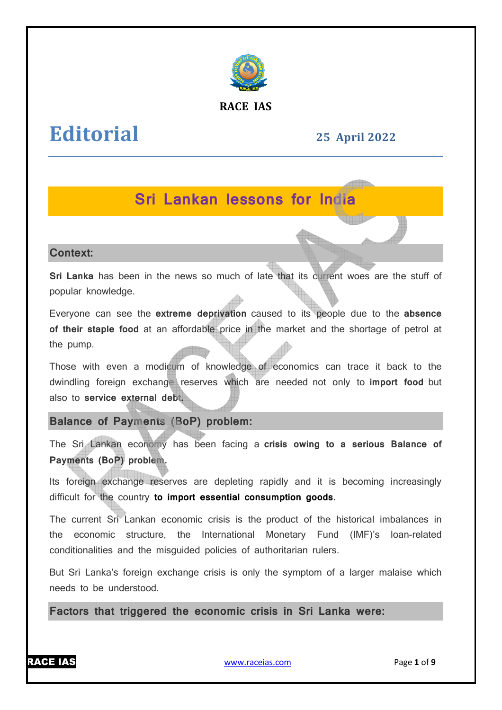

#### **RACE IAS**

# **Editorial**

# **25 April April 2022**

# **Sri Lankan lessons for India**

#### **Context:**

**Sri Lanka** has been in the news so much of late that its current woes are the stuff of popular knowledge.

Everyone can see the extreme deprivation caused to its people due to the absence of their staple food at an affordable price in the market and the shortage of petrol at the pump.

Those with even a modicum of knowledge of economics can trace it back to the dwindling foreign exchange reserves which are needed not only to **import food** but also to service external debt.

### **Balance of Payments (BoP) problem:**

The Sri Lankan economy has been facing a **crisis owing to a serious Balance of Payments (BoP) problem.**

Its foreign exchange reserves are depleting rapidly and it is becoming increasingly difficult for the country **to import essential consumption goods** .

The current Sri Lankan economic crisis is the product of the historical imbalances in the economic structure, the International Monetary Fund (IMF)'s loan-related the economic structure, the International Monetary Fund<br>conditionalities  and the  misguided  policies of  authoritarian  rulers.

But Sri Lanka's foreign exchange crisis is only the symptom of a larger malaise which needs to be understood.

**Factors that triggered the economic crisis in Sri Lanka were:**



www.raceias.com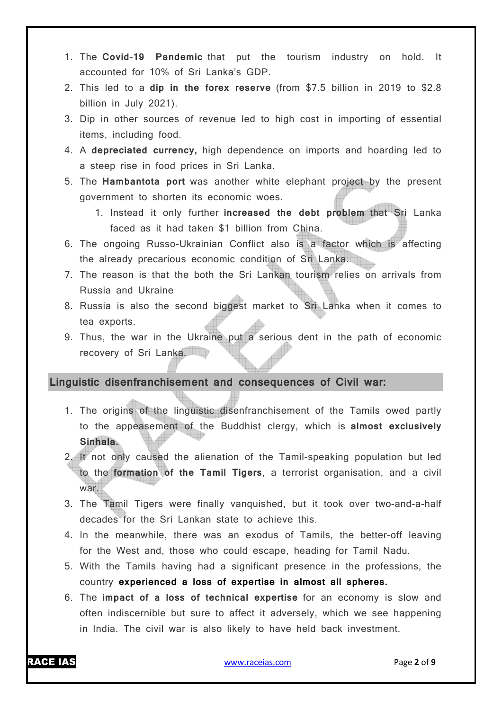- 1. The **Covid-19 Pandemic** that put the tourism industry on hold. It accounted for 10% of Sri Lanka's GDP.
- 2. This led to a **dip in the forex reserve** (from \$7.5 billion in 2019 to \$2.8 billion in July 2021).
- 3. Dip in other sources of revenue led to high cost in importing of essential items, including food.
- 4. A **depreciated currency,** high dependence on imports and hoarding led to a steep rise in food prices in Sri Lanka.
- 5. The **Hambantota port** was another white elephant project by the present government to shorten its economic woes.
	- 1. Instead it only further **increased the debt problem** that Sri Lanka faced as it had taken \$1 billion from China.
- 6. The ongoing Russo-Ukrainian Conflict also is a factor which is affecting the already precarious economic condition of Sri Lanka.
- 7. The reason is that the both the Sri Lankan tourism relies on arrivals from Russia and Ukraine
- 8. Russia is also the second biggest market to Sri Lanka when it comes to tea exports.
- 9. Thus, the war in the Ukraine put a serious dent in the path of economic recovery of Sri Lanka.

#### **Linguistic disenfranchisement and consequences of Civil war:**

- 1. The origins of the linguistic disenfranchisement of the Tamils owed partly to the appeasement of the Buddhist clergy, which is **almost exclusively Sinhala.**
- 2. It not only caused the alienation of the Tamil-speaking population but led to the **formation of the Tamil Tigers**, a terrorist organisation, and a civil war.
- 3. The Tamil Tigers were finally vanquished, but it took over two-and-a-half decades for the Sri Lankan state to achieve this.
- 4. In the meanwhile, there was an exodus of Tamils, the better-off leaving for the West and, those who could escape, heading for Tamil Nadu.
- 5. With the Tamils having had a significant presence in the professions, the country **experienced a loss of expertise in almost all spheres.**
- 6. The **impact of a loss of technical expertise** for an economy is slow and often indiscernible but sure to affect it adversely, which we see happening in India. The civil war is also likely to have held back investment.

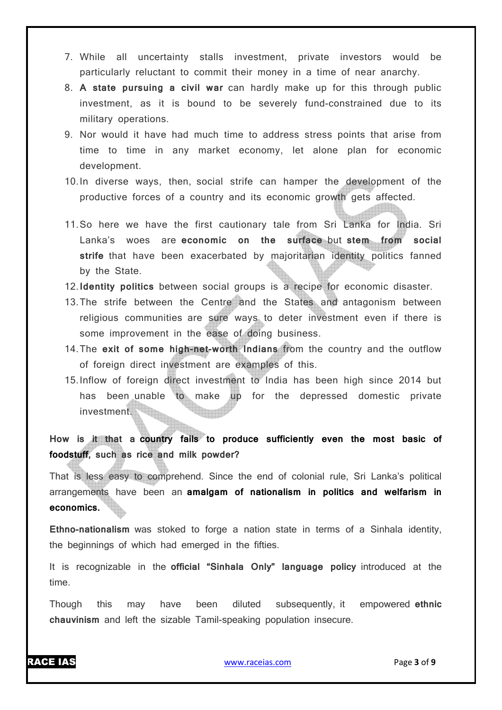- 7. While all uncertainty stalls investment, private investors would be particularly reluctant to commit their money in a time of near anarchy.
- 8. **A state pursuing a civil war** can hardly make up for this through public investment, as it is bound to be severely fund-constrained due to its military operations.
- 9. Nor would it have had much time to address stress points that arise from time to time in any market economy, let alone plan for economic development.
- 10.In diverse ways, then, social strife can hamper the development of the productive forces of a country and its economic growth gets affected.
- 11.So here we have the first cautionary tale from Sri Lanka for India. Sri Lanka's woes are **economic on the surface** but **stem from social strife** that have been exacerbated by majoritarian identity politics fanned by the State.
- 12.**Identity politics** between social groups is a recipe for economic disaster.
- 13.The strife between the Centre and the States and antagonism between religious communities are sure ways to deter investment even if there is some improvement in the ease of doing business.
- 14.The **exit of some high-net-worth Indians** from the country and the outflow of foreign direct investment are examples of this.
- 15.Inflow of foreign direct investment to India has been high since 2014 but has been unable to make up for the depressed domestic private investment.

## **How is it that a country fails to produce sufficiently even the most basic of foodstuff, such as rice and milk powder?**

That is less easy to comprehend. Since the end of colonial rule, Sri Lanka's political arrangements have been an **amalgam of nationalism in politics and welfarism in economics.**

**Ethno-nationalism** was stoked to forge a nation state in terms of a Sinhala identity, the beginnings of which had emerged in the fifties.

It is recognizable in the **official "Sinhala Only" language policy** introduced at the time.

Though this may have been diluted subsequently, it empowered **ethnic chauvinism** and left the sizable Tamil-speaking population insecure.

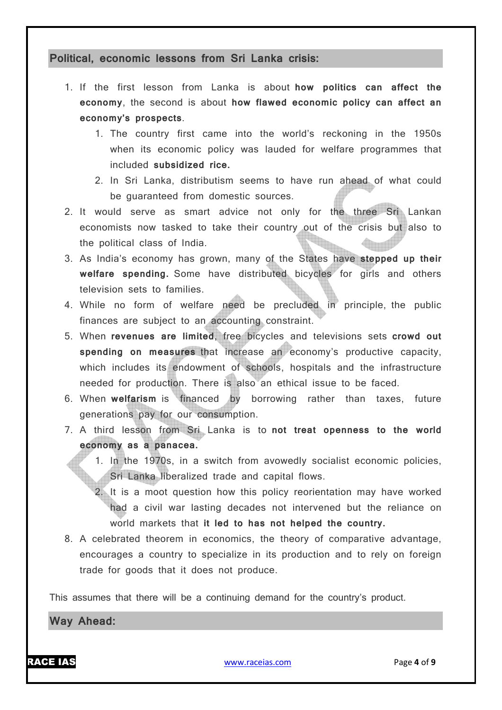#### **Political, economic lessons from Sri Lanka crisis:**

- 1. If the first lesson from Lanka is about **how politics can affect the economy**, the second is about **how flawed economic policy can affect an economy's prospects**.
	- 1. The country first came into the world's reckoning in the 1950s when its economic policy was lauded for welfare programmes that included **subsidized rice.**
	- 2. In Sri Lanka, distributism seems to have run ahead of what could be guaranteed from domestic sources.
- 2. It would serve as smart advice not only for the three Sri Lankan economists now tasked to take their country out of the crisis but also to the political class of India.
- 3. As India's economy has grown, many of the States have **stepped up their welfare spending.** Some have distributed bicycles for girls and others television sets to families.
- 4. While no form of welfare need be precluded in principle, the public finances are subject to an accounting constraint.
- 5. When **revenues are limited**, free bicycles and televisions sets **crowd out**  spending on measures that increase an economy's productive capacity, which includes its endowment of schools, hospitals and the infrastructure needed for production. There is also an ethical issue to be faced.
- 6. When **welfarism** is financed by borrowing rather than taxes, future generations pay for our consumption.
- 7. A third lesson from Sri Lanka is to **not treat openness to the world economy as a panacea.**
	- 1. In the 1970s, in a switch from avowedly socialist economic policies, Sri Lanka liberalized trade and capital flows.
	- 2. It is a moot question how this policy reorientation may have worked had a civil war lasting decades not intervened but the reliance on world markets that **it led to has not helped the country.**
- 8. A celebrated theorem in economics, the theory of comparative advantage, encourages a country to specialize in its production and to rely on foreign trade for goods that it does not produce.

This assumes that there will be a continuing demand for the country's product.

**Way Ahead:**

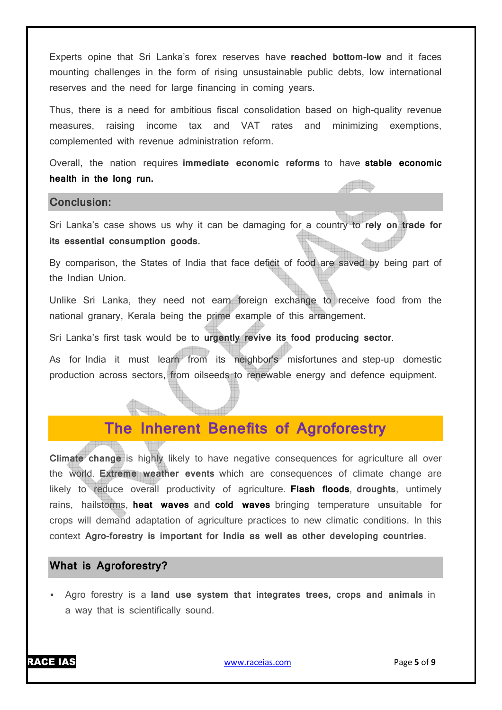Experts opine that Sri Lanka's forex reserves have **reached bottom-low** and it faces mounting challenges in the form of rising unsustainable public debts, low international reserves and the need for large financing in coming years.

Thus, there is a need for ambitious fiscal consolidation based on high-quality revenue measures, raising income tax and VAT rates and minimizing exemptions, complemented with revenue administration reform.

Overall, the nation requires **immediate economic reforms** to have **stable economic health in the long run.**

#### **Conclusion:**

Sri Lanka's case shows us why it can be damaging for a country to **rely on trade for its essential consumption goods.**

By comparison, the States of India that face deficit of food are saved by being part of the Indian Union.

Unlike Sri Lanka, they need not earn foreign exchange to receive food from the national granary, Kerala being the prime example of this arrangement.

Sri Lanka's first task would be to **urgently revive its food producing sector**.

As for India it must learn from its neighbor's misfortunes and step-up domestic production across sectors, from oilseeds to renewable energy and defence equipment.

# **The Inherent Benefits of Agroforestry**

**Climate change** is highly likely to have negative consequences for agriculture all over the world. **Extreme weather events** which are consequences of climate change are likely to reduce overall productivity of agriculture. **Flash floods**, **droughts**, untimely rains, hailstorms, **heat waves and cold waves** bringing temperature unsuitable for crops will demand adaptation of agriculture practices to new climatic conditions. In this context **Agro-forestry is important for India as well as other developing countries**.

#### **What is Agroforestry?**

 Agro forestry is a **land use system that integrates trees, crops and animals** in a way that is scientifically sound.

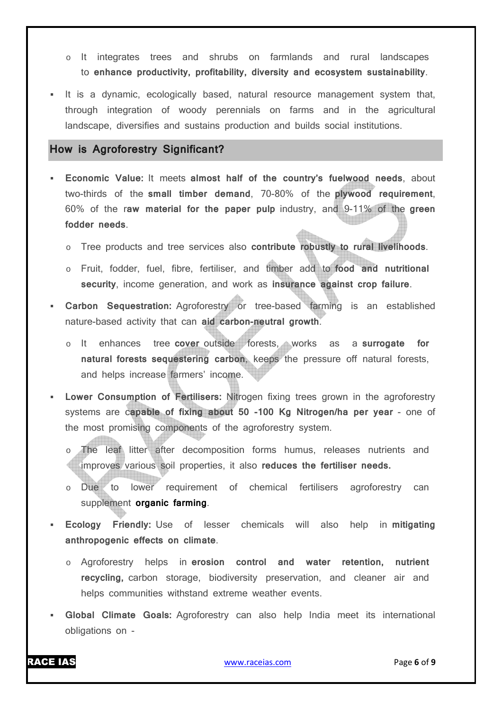- o It integrates trees and shrubs on farmlands and rural landscapes to **enhance productivity, profitability, diversity and ecosystem sustainability**.
- It is a dynamic, ecologically based, natural resource management system that, through integration of woody perennials on farms and in the agricultural landscape, diversifies and sustains production and builds social institutions.

#### **How is Agroforestry Significant?**

- **Economic Value:** It meets **almost half of the country's fuelwood needs**, about two-thirds of the **small timber demand**, 70-80% of the **plywood requirement**, 60% of the r**aw material for the paper pulp** industry, and 9-11% of the **green fodder needs**.
	- o Tree products and tree services also **contribute robustly to rural livelihoods**.
	- o Fruit, fodder, fuel, fibre, fertiliser, and timber add to **food and nutritional security**, income generation, and work as **insurance against crop failure**.
- **Carbon Sequestration:** Agroforestry or tree-based farming is an established nature-based activity that can **aid carbon-neutral growth**.
	- o It enhances tree **cover** outside forests, works as a **surrogate for natural forests sequestering carbon**, keeps the pressure off natural forests, and helps increase farmers' income.
- **Lower Consumption of Fertilisers:** Nitrogen fixing trees grown in the agroforestry systems are c**apable of fixing about 50 -100 Kg Nitrogen/ha per year** - one of the most promising components of the agroforestry system.
	- The leaf litter after decomposition forms humus, releases nutrients and improves various soil properties, it also **reduces the fertiliser needs.**
	- o Due to lower requirement of chemical fertilisers agroforestry can supplement **organic farming**.
- **Ecology Friendly:** Use of lesser chemicals will also help in **mitigating anthropogenic effects on climate**.
	- o Agroforestry helps in **erosion control and water retention, nutrient recycling,** carbon storage, biodiversity preservation, and cleaner air and helps communities withstand extreme weather events.
- **Global Climate Goals:** Agroforestry can also help India meet its international obligations on -

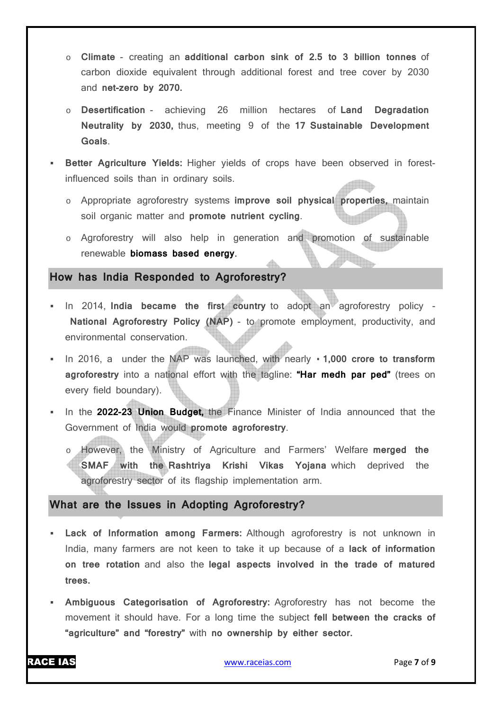- o **Climate** creating an **additional carbon sink of 2.5 to 3 billion tonnes** of carbon dioxide equivalent through additional forest and tree cover by 2030 and **net-zero by 2070.**
- o **Desertification** achieving 26 million hectares of **Land Degradation Neutrality by 2030,** thus, meeting 9 of the **17 Sustainable Development Goals**.
- **Better Agriculture Yields:** Higher yields of crops have been observed in forestinfluenced soils than in ordinary soils.
	- o Appropriate agroforestry systems **improve soil physical properties,** maintain soil organic matter and **promote nutrient cycling**.
	- o Agroforestry will also help in generation and promotion of sustainable renewable **biomass based energy**.

#### **How has India Responded to Agroforestry?**

- In 2014, India became the first country to adopt an agroforestry policy -**National Agroforestry Policy (NAP)** - to promote employment, productivity, and environmental conservation.
- In 2016, a under the NAP was launched, with nearly **· 1,000 crore to transform agroforestry** into a national effort with the tagline: **"Har medh par ped"** (trees on every field boundary).
- In the **2022-23 Union Budget,** the Finance Minister of India announced that the Government of India would **promote agroforestry**.
	- However, the Ministry of Agriculture and Farmers' Welfare merged the **SMAF with the Rashtriya Krishi Vikas Yojana** which deprived the agroforestry sector of its flagship implementation arm.

#### **What are the Issues in Adopting Agroforestry?**

- **Lack of Information among Farmers:** Although agroforestry is not unknown in India, many farmers are not keen to take it up because of a **lack of information on tree rotation** and also the **legal aspects involved in the trade of matured trees.**
- **Ambiguous Categorisation of Agroforestry:** Agroforestry has not become the movement it should have. For a long time the subject **fell between the cracks of "agriculture" and "forestry"** with **no ownership by either sector.**

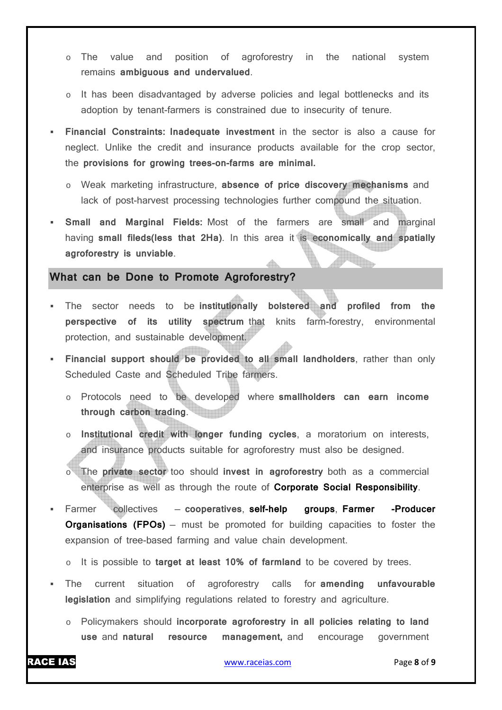- o The value and position of agroforestry in the national system remains **ambiguous and undervalued**.
- o It has been disadvantaged by adverse policies and legal bottlenecks and its adoption by tenant-farmers is constrained due to insecurity of tenure.
- **Financial Constraints: Inadequate investment** in the sector is also a cause for neglect. Unlike the credit and insurance products available for the crop sector, the **provisions for growing trees-on-farms are minimal.**
	- o Weak marketing infrastructure, **absence of price discovery mechanisms** and lack of post-harvest processing technologies further compound the situation.
- **Small and Marginal Fields:** Most of the farmers are small and marginal having **small fileds(less that 2Ha)**. In this area it is e**conomically and spatially agroforestry is unviable**.

### **What can be Done to Promote Agroforestry?**

- The sector needs to be **institutionally bolstered and profiled from the perspective of its utility spectrum** that knits farm-forestry, environmental protection, and sustainable development.
- **Financial support should be provided to all small landholders**, rather than only Scheduled Caste and Scheduled Tribe farmers.
	- o Protocols need to be developed where **smallholders can earn income through carbon trading**.
	- o **Institutional credit with longer funding cycles**, a moratorium on interests, and insurance products suitable for agroforestry must also be designed.
	- The **private sector** too should **invest in agroforestry** both as a commercial enterprise as well as through the route of **Corporate Social Responsibility**.
- Farmer collectives **cooperatives**, **self-help groups**, **Farmer -Producer Organisations (FPOs)** – must be promoted for building capacities to foster the expansion of tree-based farming and value chain development.
	- o It is possible to **target at least 10% of farmland** to be covered by trees.
- The current situation of agroforestry calls for **amending unfavourable legislation** and simplifying regulations related to forestry and agriculture.
	- o Policymakers should **incorporate agroforestry in all policies relating to land use** and **natural resource management,** and encourage government